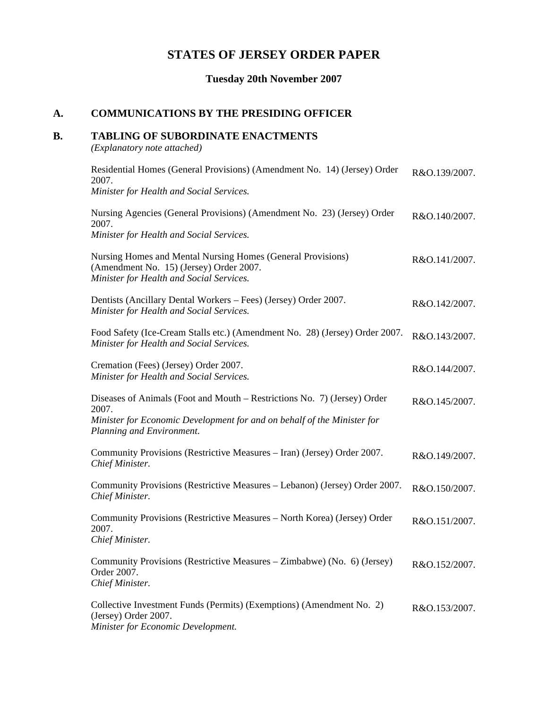# **STATES OF JERSEY ORDER PAPER**

## **Tuesday 20th November 2007**

## **A. COMMUNICATIONS BY THE PRESIDING OFFICER**

## **B. TABLING OF SUBORDINATE ENACTMENTS**

*(Explanatory note attached)*

| Residential Homes (General Provisions) (Amendment No. 14) (Jersey) Order<br>2007.<br>Minister for Health and Social Services.                                                             | R&O.139/2007. |
|-------------------------------------------------------------------------------------------------------------------------------------------------------------------------------------------|---------------|
| Nursing Agencies (General Provisions) (Amendment No. 23) (Jersey) Order<br>2007.<br>Minister for Health and Social Services.                                                              | R&O.140/2007. |
| Nursing Homes and Mental Nursing Homes (General Provisions)<br>(Amendment No. 15) (Jersey) Order 2007.<br>Minister for Health and Social Services.                                        | R&O.141/2007. |
| Dentists (Ancillary Dental Workers – Fees) (Jersey) Order 2007.<br>Minister for Health and Social Services.                                                                               | R&O.142/2007. |
| Food Safety (Ice-Cream Stalls etc.) (Amendment No. 28) (Jersey) Order 2007.<br>Minister for Health and Social Services.                                                                   | R&O.143/2007. |
| Cremation (Fees) (Jersey) Order 2007.<br>Minister for Health and Social Services.                                                                                                         | R&O.144/2007. |
| Diseases of Animals (Foot and Mouth – Restrictions No. 7) (Jersey) Order<br>2007.<br>Minister for Economic Development for and on behalf of the Minister for<br>Planning and Environment. | R&O.145/2007. |
| Community Provisions (Restrictive Measures - Iran) (Jersey) Order 2007.<br>Chief Minister.                                                                                                | R&O.149/2007. |
| Community Provisions (Restrictive Measures - Lebanon) (Jersey) Order 2007.<br>Chief Minister.                                                                                             | R&O.150/2007. |
| Community Provisions (Restrictive Measures - North Korea) (Jersey) Order<br>2007.<br>Chief Minister.                                                                                      | R&O.151/2007. |
| Community Provisions (Restrictive Measures – Zimbabwe) (No. 6) (Jersey)<br>Order 2007.<br>Chief Minister.                                                                                 | R&O.152/2007. |
| Collective Investment Funds (Permits) (Exemptions) (Amendment No. 2)<br>(Jersey) Order 2007.<br>Minister for Economic Development.                                                        | R&O.153/2007. |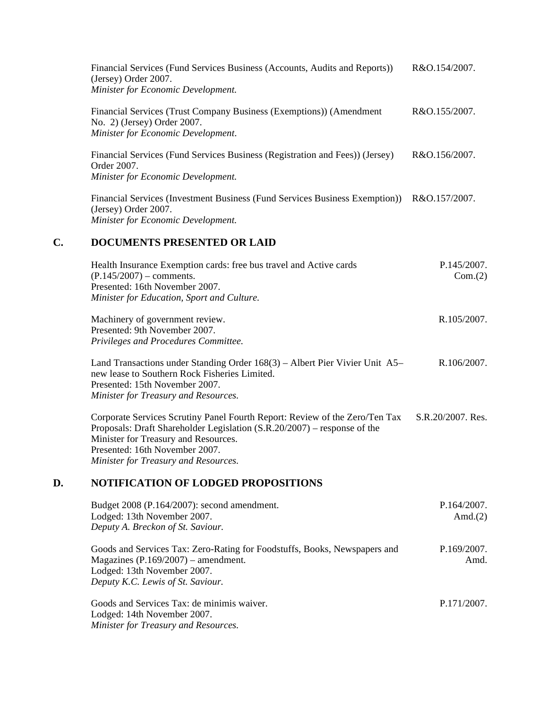| Financial Services (Fund Services Business (Accounts, Audits and Reports))<br>(Jersey) Order 2007.<br>Minister for Economic Development.  | R&O.154/2007. |
|-------------------------------------------------------------------------------------------------------------------------------------------|---------------|
| Financial Services (Trust Company Business (Exemptions)) (Amendment<br>No. 2) (Jersey) Order 2007.<br>Minister for Economic Development.  | R&O.155/2007. |
| Financial Services (Fund Services Business (Registration and Fees)) (Jersey)<br>Order 2007.<br>Minister for Economic Development.         | R&O.156/2007. |
| Financial Services (Investment Business (Fund Services Business Exemption))<br>(Jersey) Order 2007.<br>Minister for Economic Development. | R&O.157/2007. |

#### **C. DOCUMENTS PRESENTED OR LAID**

| Health Insurance Exemption cards: free bus travel and Active cards | P.145/2007. |
|--------------------------------------------------------------------|-------------|
| $(P.145/2007)$ – comments.                                         | Com.(2)     |
| Presented: 16th November 2007.                                     |             |
| Minister for Education, Sport and Culture.                         |             |
| Machinery of government review.                                    | R.105/2007. |
| Presented: 9th November 2007.                                      |             |

*Privileges and Procedures Committee.*

Land Transactions under Standing Order 168(3) – Albert Pier Vivier Unit A5 – new lease to Southern Rock Fisheries Limited. Presented: 15th November 2007. *Minister for Treasury and Resources.* R.106/2007.

Corporate Services Scrutiny Panel Fourth Report: Review of the Zero/Ten Tax Proposals: Draft Shareholder Legislation (S.R.20/2007) – response of the Minister for Treasury and Resources. Presented: 16th November 2007. *Minister for Treasury and Resources.* S.R.20/2007. Res.

### **D. NOTIFICATION OF LODGED PROPOSITIONS**

| Budget 2008 (P.164/2007): second amendment.<br>Lodged: 13th November 2007.<br>Deputy A. Breckon of St. Saviour.                                                                        | P.164/2007.<br>Amd. $(2)$ |
|----------------------------------------------------------------------------------------------------------------------------------------------------------------------------------------|---------------------------|
| Goods and Services Tax: Zero-Rating for Foodstuffs, Books, Newspapers and<br>Magazines $(P.169/2007)$ – amendment.<br>Lodged: 13th November 2007.<br>Deputy K.C. Lewis of St. Saviour. | P.169/2007.<br>Amd.       |
| Goods and Services Tax: de minimis waiver.<br>Lodged: 14th November 2007.<br>Minister for Treasury and Resources.                                                                      | P.171/2007.               |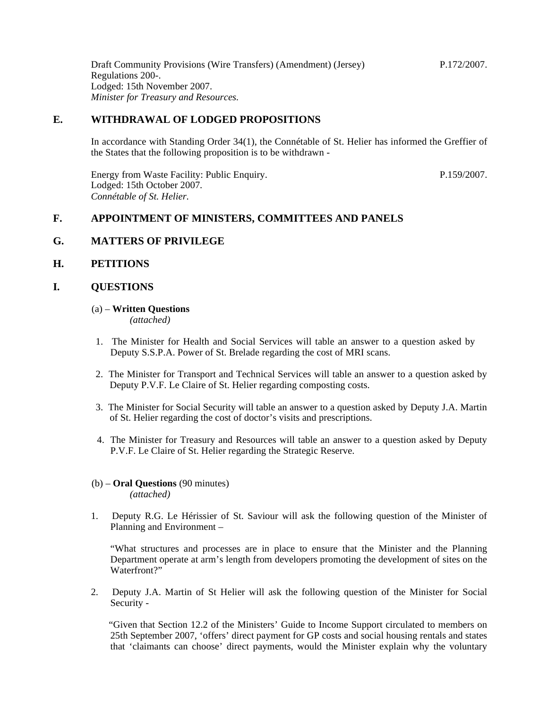Draft Community Provisions (Wire Transfers) (Amendment) (Jersey) Regulations 200-. Lodged: 15th November 2007. *Minister for Treasury and Resources.* P.172/2007.

### **E. WITHDRAWAL OF LODGED PROPOSITIONS**

In accordance with Standing Order 34(1), the Connétable of St. Helier has informed the Greffier of the States that the following proposition is to be withdrawn -

Energy from Waste Facility: Public Enquiry. Lodged: 15th October 2007. *Connétable of St. Helier.*

P.159/2007.

### **F. APPOINTMENT OF MINISTERS, COMMITTEES AND PANELS**

#### **G. MATTERS OF PRIVILEGE**

#### **H. PETITIONS**

#### **I. QUESTIONS**

### (a) – **Written Questions**

*(attached)*

- 1. The Minister for Health and Social Services will table an answer to a question asked by Deputy S.S.P.A. Power of St. Brelade regarding the cost of MRI scans.
- 2. The Minister for Transport and Technical Services will table an answer to a question asked by Deputy P.V.F. Le Claire of St. Helier regarding composting costs.
- 3. The Minister for Social Security will table an answer to a question asked by Deputy J.A. Martin of St. Helier regarding the cost of doctor's visits and prescriptions.
- 4. The Minister for Treasury and Resources will table an answer to a question asked by Deputy P.V.F. Le Claire of St. Helier regarding the Strategic Reserve.
- (b) **Oral Questions** (90 minutes) *(attached)*
- 1. Deputy R.G. Le Hérissier of St. Saviour will ask the following question of the Minister of Planning and Environment –

 "What structures and processes are in place to ensure that the Minister and the Planning Department operate at arm's length from developers promoting the development of sites on the Waterfront?"

2. Deputy J.A. Martin of St Helier will ask the following question of the Minister for Social Security -

 "Given that Section 12.2 of the Ministers' Guide to Income Support circulated to members on 25th September 2007, 'offers' direct payment for GP costs and social housing rentals and states that 'claimants can choose' direct payments, would the Minister explain why the voluntary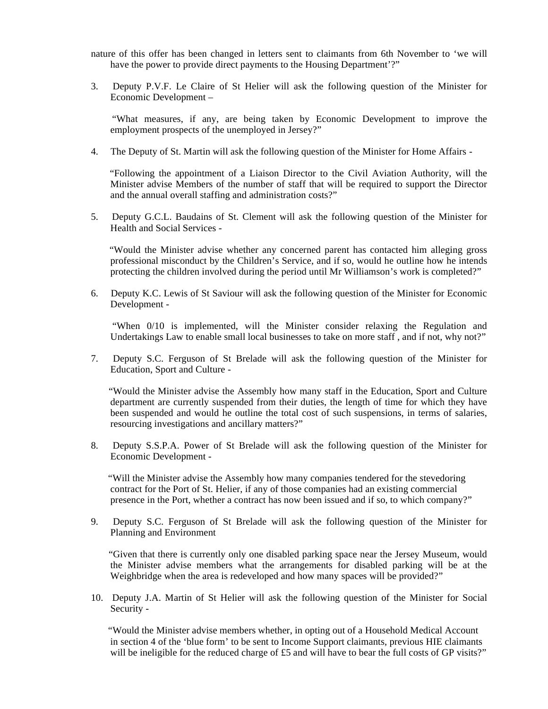nature of this offer has been changed in letters sent to claimants from 6th November to 'we will have the power to provide direct payments to the Housing Department'?"

3. Deputy P.V.F. Le Claire of St Helier will ask the following question of the Minister for Economic Development –

 "What measures, if any, are being taken by Economic Development to improve the employment prospects of the unemployed in Jersey?"

4. The Deputy of St. Martin will ask the following question of the Minister for Home Affairs -

 "Following the appointment of a Liaison Director to the Civil Aviation Authority, will the Minister advise Members of the number of staff that will be required to support the Director and the annual overall staffing and administration costs?"

5. Deputy G.C.L. Baudains of St. Clement will ask the following question of the Minister for Health and Social Services -

 "Would the Minister advise whether any concerned parent has contacted him alleging gross professional misconduct by the Children's Service, and if so, would he outline how he intends protecting the children involved during the period until Mr Williamson's work is completed?"

6. Deputy K.C. Lewis of St Saviour will ask the following question of the Minister for Economic Development -

 "When 0/10 is implemented, will the Minister consider relaxing the Regulation and Undertakings Law to enable small local businesses to take on more staff , and if not, why not?"

7. Deputy S.C. Ferguson of St Brelade will ask the following question of the Minister for Education, Sport and Culture -

 "Would the Minister advise the Assembly how many staff in the Education, Sport and Culture department are currently suspended from their duties, the length of time for which they have been suspended and would he outline the total cost of such suspensions, in terms of salaries, resourcing investigations and ancillary matters?"

8. Deputy S.S.P.A. Power of St Brelade will ask the following question of the Minister for Economic Development -

 "Will the Minister advise the Assembly how many companies tendered for the stevedoring contract for the Port of St. Helier, if any of those companies had an existing commercial presence in the Port, whether a contract has now been issued and if so, to which company?"

9. Deputy S.C. Ferguson of St Brelade will ask the following question of the Minister for Planning and Environment

 "Given that there is currently only one disabled parking space near the Jersey Museum, would the Minister advise members what the arrangements for disabled parking will be at the Weighbridge when the area is redeveloped and how many spaces will be provided?"

10. Deputy J.A. Martin of St Helier will ask the following question of the Minister for Social Security -

 "Would the Minister advise members whether, in opting out of a Household Medical Account in section 4 of the 'blue form' to be sent to Income Support claimants, previous HIE claimants will be ineligible for the reduced charge of £5 and will have to bear the full costs of GP visits?"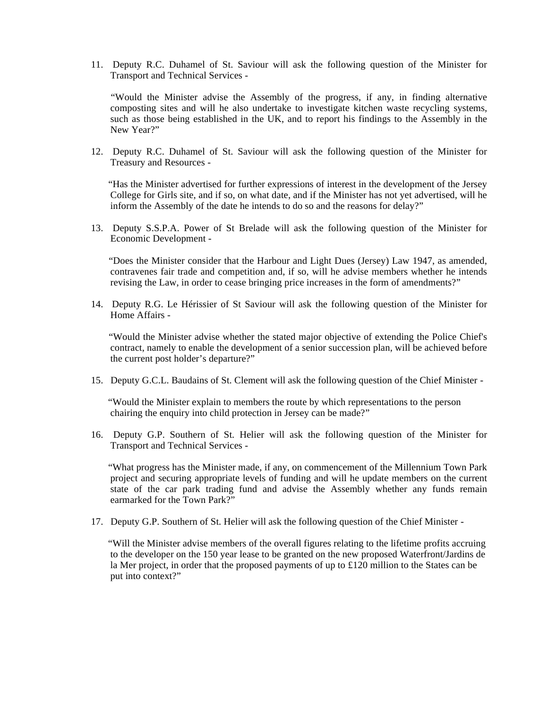11. Deputy R.C. Duhamel of St. Saviour will ask the following question of the Minister for Transport and Technical Services -

 "Would the Minister advise the Assembly of the progress, if any, in finding alternative composting sites and will he also undertake to investigate kitchen waste recycling systems, such as those being established in the UK, and to report his findings to the Assembly in the New Year?"

12. Deputy R.C. Duhamel of St. Saviour will ask the following question of the Minister for Treasury and Resources -

 "Has the Minister advertised for further expressions of interest in the development of the Jersey College for Girls site, and if so, on what date, and if the Minister has not yet advertised, will he inform the Assembly of the date he intends to do so and the reasons for delay?"

13. Deputy S.S.P.A. Power of St Brelade will ask the following question of the Minister for Economic Development -

 "Does the Minister consider that the Harbour and Light Dues (Jersey) Law 1947, as amended, contravenes fair trade and competition and, if so, will he advise members whether he intends revising the Law, in order to cease bringing price increases in the form of amendments?"

14. Deputy R.G. Le Hérissier of St Saviour will ask the following question of the Minister for Home Affairs -

 "Would the Minister advise whether the stated major objective of extending the Police Chief's contract, namely to enable the development of a senior succession plan, will be achieved before the current post holder's departure?"

15. Deputy G.C.L. Baudains of St. Clement will ask the following question of the Chief Minister -

 "Would the Minister explain to members the route by which representations to the person chairing the enquiry into child protection in Jersey can be made?"

16. Deputy G.P. Southern of St. Helier will ask the following question of the Minister for Transport and Technical Services -

 "What progress has the Minister made, if any, on commencement of the Millennium Town Park project and securing appropriate levels of funding and will he update members on the current state of the car park trading fund and advise the Assembly whether any funds remain earmarked for the Town Park?"

17. Deputy G.P. Southern of St. Helier will ask the following question of the Chief Minister -

 "Will the Minister advise members of the overall figures relating to the lifetime profits accruing to the developer on the 150 year lease to be granted on the new proposed Waterfront/Jardins de la Mer project, in order that the proposed payments of up to £120 million to the States can be put into context?"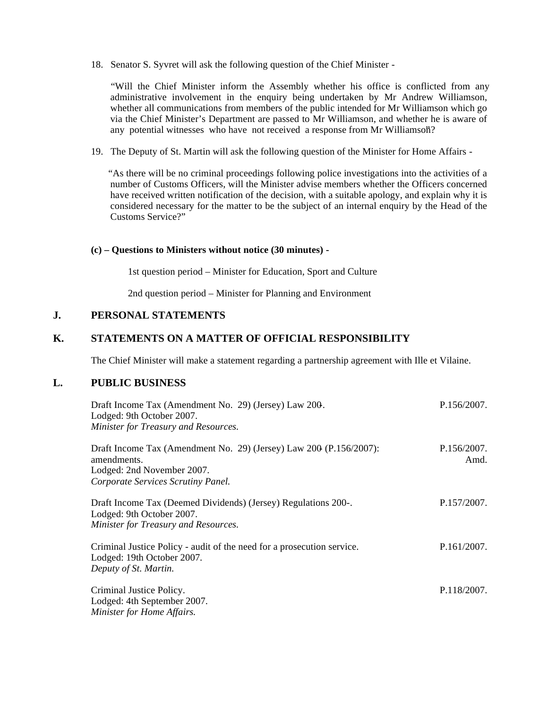18. Senator S. Syvret will ask the following question of the Chief Minister -

 "Will the Chief Minister inform the Assembly whether his office is conflicted from any administrative involvement in the enquiry being undertaken by Mr Andrew Williamson, whether all communications from members of the public intended for Mr Williamson which go via the Chief Minister's Department are passed to Mr Williamson, and whether he is aware of any potential witnesses who have not received a response from Mr Williamson?

19. The Deputy of St. Martin will ask the following question of the Minister for Home Affairs -

 "As there will be no criminal proceedings following police investigations into the activities of a number of Customs Officers, will the Minister advise members whether the Officers concerned have received written notification of the decision, with a suitable apology, and explain why it is considered necessary for the matter to be the subject of an internal enquiry by the Head of the Customs Service?"

#### **(c) – Questions to Ministers without notice (30 minutes) -**

1st question period – Minister for Education, Sport and Culture

2nd question period – Minister for Planning and Environment

### **J. PERSONAL STATEMENTS**

### **K. STATEMENTS ON A MATTER OF OFFICIAL RESPONSIBILITY**

The Chief Minister will make a statement regarding a partnership agreement with Ille et Vilaine.

### **L. PUBLIC BUSINESS**

| Draft Income Tax (Amendment No. 29) (Jersey) Law 200.<br>Lodged: 9th October 2007.<br>Minister for Treasury and Resources.                              | P.156/2007.         |
|---------------------------------------------------------------------------------------------------------------------------------------------------------|---------------------|
| Draft Income Tax (Amendment No. 29) (Jersey) Law $200$ (P.156/2007):<br>amendments.<br>Lodged: 2nd November 2007.<br>Corporate Services Scrutiny Panel. | P.156/2007.<br>Amd. |
| Draft Income Tax (Deemed Dividends) (Jersey) Regulations 200-.<br>Lodged: 9th October 2007.<br>Minister for Treasury and Resources.                     | P.157/2007.         |
| Criminal Justice Policy - audit of the need for a prosecution service.<br>Lodged: 19th October 2007.<br>Deputy of St. Martin.                           | P.161/2007.         |
| Criminal Justice Policy.<br>Lodged: 4th September 2007.<br>Minister for Home Affairs.                                                                   | P.118/2007.         |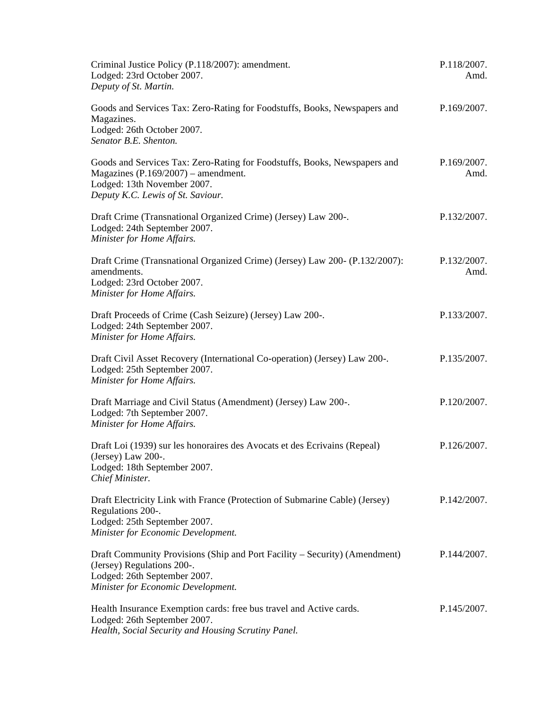| Criminal Justice Policy (P.118/2007): amendment.<br>Lodged: 23rd October 2007.<br>Deputy of St. Martin.                                                                                | P.118/2007.<br>Amd. |
|----------------------------------------------------------------------------------------------------------------------------------------------------------------------------------------|---------------------|
| Goods and Services Tax: Zero-Rating for Foodstuffs, Books, Newspapers and<br>Magazines.<br>Lodged: 26th October 2007.<br>Senator B.E. Shenton.                                         | P.169/2007.         |
| Goods and Services Tax: Zero-Rating for Foodstuffs, Books, Newspapers and<br>Magazines $(P.169/2007)$ – amendment.<br>Lodged: 13th November 2007.<br>Deputy K.C. Lewis of St. Saviour. | P.169/2007.<br>Amd. |
| Draft Crime (Transnational Organized Crime) (Jersey) Law 200-.<br>Lodged: 24th September 2007.<br>Minister for Home Affairs.                                                           | P.132/2007.         |
| Draft Crime (Transnational Organized Crime) (Jersey) Law 200- (P.132/2007):<br>amendments.<br>Lodged: 23rd October 2007.<br>Minister for Home Affairs.                                 | P.132/2007.<br>Amd. |
| Draft Proceeds of Crime (Cash Seizure) (Jersey) Law 200-.<br>Lodged: 24th September 2007.<br>Minister for Home Affairs.                                                                | P.133/2007.         |
| Draft Civil Asset Recovery (International Co-operation) (Jersey) Law 200-.<br>Lodged: 25th September 2007.<br>Minister for Home Affairs.                                               | P.135/2007.         |
| Draft Marriage and Civil Status (Amendment) (Jersey) Law 200-.<br>Lodged: 7th September 2007.<br>Minister for Home Affairs.                                                            | P.120/2007.         |
| Draft Loi (1939) sur les honoraires des Avocats et des Écrivains (Repeal)<br>(Jersey) Law $200$ -.<br>Lodged: 18th September 2007.<br>Chief Minister.                                  | P.126/2007.         |
| Draft Electricity Link with France (Protection of Submarine Cable) (Jersey)<br>Regulations 200-.<br>Lodged: 25th September 2007.<br>Minister for Economic Development.                 | P.142/2007.         |
| Draft Community Provisions (Ship and Port Facility – Security) (Amendment)<br>(Jersey) Regulations 200-.<br>Lodged: 26th September 2007.<br>Minister for Economic Development.         | P.144/2007.         |
| Health Insurance Exemption cards: free bus travel and Active cards.<br>Lodged: 26th September 2007.<br>Health, Social Security and Housing Scrutiny Panel.                             | P.145/2007.         |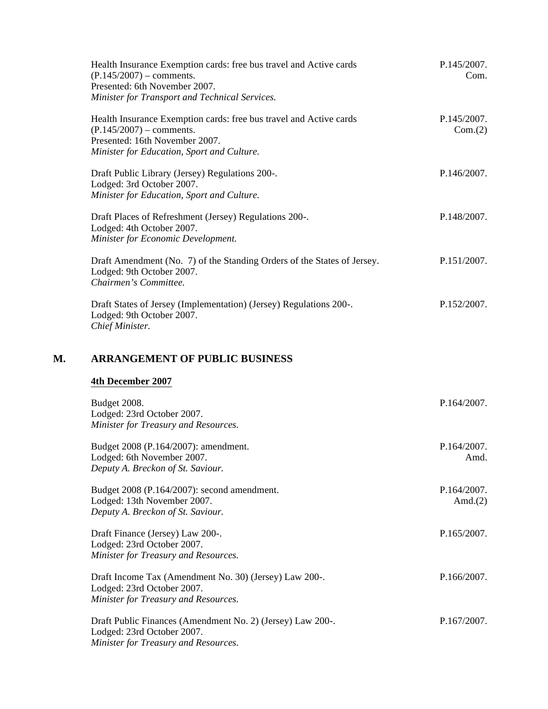|    | Health Insurance Exemption cards: free bus travel and Active cards<br>$(P.145/2007)$ – comments.<br>Presented: 6th November 2007.<br>Minister for Transport and Technical Services. | P.145/2007.<br>Com.       |
|----|-------------------------------------------------------------------------------------------------------------------------------------------------------------------------------------|---------------------------|
|    | Health Insurance Exemption cards: free bus travel and Active cards<br>$(P.145/2007)$ – comments.<br>Presented: 16th November 2007.<br>Minister for Education, Sport and Culture.    | P.145/2007.<br>Com.(2)    |
|    | Draft Public Library (Jersey) Regulations 200-.<br>Lodged: 3rd October 2007.<br>Minister for Education, Sport and Culture.                                                          | P.146/2007.               |
|    | Draft Places of Refreshment (Jersey) Regulations 200-.<br>Lodged: 4th October 2007.<br>Minister for Economic Development.                                                           | P.148/2007.               |
|    | Draft Amendment (No. 7) of the Standing Orders of the States of Jersey.<br>Lodged: 9th October 2007.<br>Chairmen's Committee.                                                       | P.151/2007.               |
|    | Draft States of Jersey (Implementation) (Jersey) Regulations 200-.<br>Lodged: 9th October 2007.<br>Chief Minister.                                                                  | P.152/2007.               |
| М. | <b>ARRANGEMENT OF PUBLIC BUSINESS</b>                                                                                                                                               |                           |
|    | 4th December 2007                                                                                                                                                                   |                           |
|    | Budget 2008.<br>Lodged: 23rd October 2007.<br>Minister for Treasury and Resources.                                                                                                  | P.164/2007.               |
|    | Budget 2008 (P.164/2007): amendment.<br>Lodged: 6th November 2007.<br>Deputy A. Breckon of St. Saviour.                                                                             | P.164/2007.<br>Amd.       |
|    | Budget 2008 (P.164/2007): second amendment.<br>Lodged: 13th November 2007.<br>Deputy A. Breckon of St. Saviour.                                                                     | P.164/2007.<br>Amd. $(2)$ |
|    | Draft Finance (Jersey) Law 200-.<br>Lodged: 23rd October 2007.<br>Minister for Treasury and Resources.                                                                              | P.165/2007.               |
|    | Draft Income Tax (Amendment No. 30) (Jersey) Law 200-.<br>Lodged: 23rd October 2007.<br>Minister for Treasury and Resources.                                                        | P.166/2007.               |
|    | Draft Public Finances (Amendment No. 2) (Jersey) Law 200-.<br>Lodged: 23rd October 2007.<br>Minister for Treasury and Resources.                                                    | P.167/2007.               |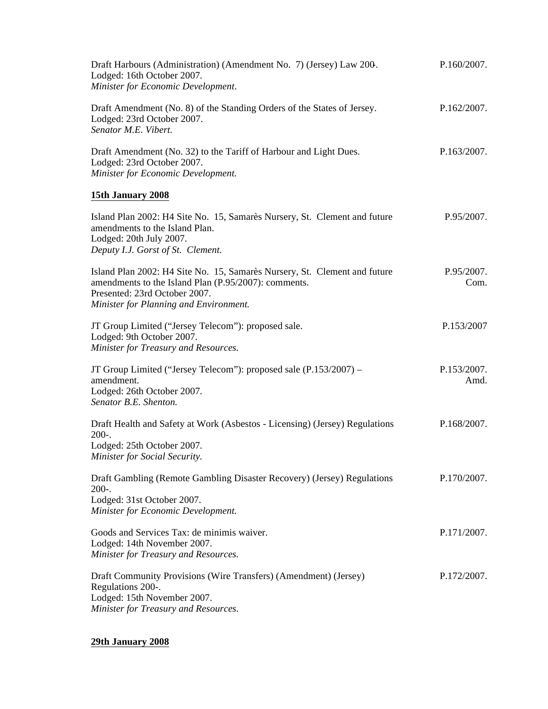| Draft Harbours (Administration) (Amendment No. 7) (Jersey) Law 200.<br>Lodged: 16th October 2007.<br>Minister for Economic Development.                                                                      | P.160/2007.         |
|--------------------------------------------------------------------------------------------------------------------------------------------------------------------------------------------------------------|---------------------|
| Draft Amendment (No. 8) of the Standing Orders of the States of Jersey.<br>Lodged: 23rd October 2007.<br>Senator M.E. Vibert.                                                                                | P.162/2007.         |
| Draft Amendment (No. 32) to the Tariff of Harbour and Light Dues.<br>Lodged: 23rd October 2007.<br>Minister for Economic Development.                                                                        | P.163/2007.         |
| 15th January 2008                                                                                                                                                                                            |                     |
| Island Plan 2002: H4 Site No. 15, Samarès Nursery, St. Clement and future<br>amendments to the Island Plan.<br>Lodged: 20th July 2007.<br>Deputy I.J. Gorst of St. Clement.                                  | P.95/2007.          |
| Island Plan 2002: H4 Site No. 15, Samarès Nursery, St. Clement and future<br>amendments to the Island Plan (P.95/2007): comments.<br>Presented: 23rd October 2007.<br>Minister for Planning and Environment. | P.95/2007.<br>Com.  |
| JT Group Limited ("Jersey Telecom"): proposed sale.<br>Lodged: 9th October 2007.<br>Minister for Treasury and Resources.                                                                                     | P.153/2007          |
| JT Group Limited ("Jersey Telecom"): proposed sale (P.153/2007) –<br>amendment.<br>Lodged: 26th October 2007.<br>Senator B.E. Shenton.                                                                       | P.153/2007.<br>Amd. |
| Draft Health and Safety at Work (Asbestos - Licensing) (Jersey) Regulations<br>$200-.$<br>Lodged: 25th October 2007.<br>Minister for Social Security.                                                        | P.168/2007.         |
| Draft Gambling (Remote Gambling Disaster Recovery) (Jersey) Regulations<br>$200-.$<br>Lodged: 31st October 2007.<br>Minister for Economic Development.                                                       | P.170/2007.         |
| Goods and Services Tax: de minimis waiver.<br>Lodged: 14th November 2007.<br>Minister for Treasury and Resources.                                                                                            | P.171/2007.         |
| Draft Community Provisions (Wire Transfers) (Amendment) (Jersey)<br>Regulations 200-.<br>Lodged: 15th November 2007.<br>Minister for Treasury and Resources.                                                 | P.172/2007.         |

### **29th January 2008**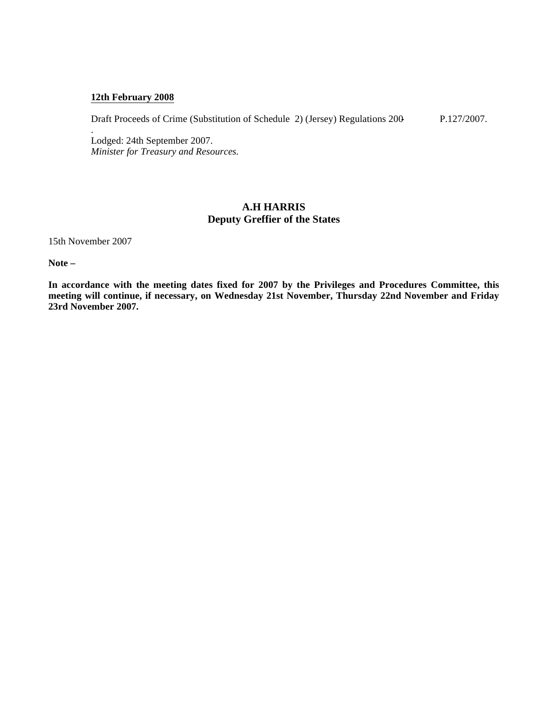#### **12th February 2008**

Draft Proceeds of Crime (Substitution of Schedule 2) (Jersey) Regulations 200-

P.127/2007.

Lodged: 24th September 2007. *Minister for Treasury and Resources.*

### **A.H HARRIS Deputy Greffier of the States**

15th November 2007

.

**Note –**

**In accordance with the meeting dates fixed for 2007 by the Privileges and Procedures Committee, this meeting will continue, if necessary, on Wednesday 21st November, Thursday 22nd November and Friday 23rd November 2007.**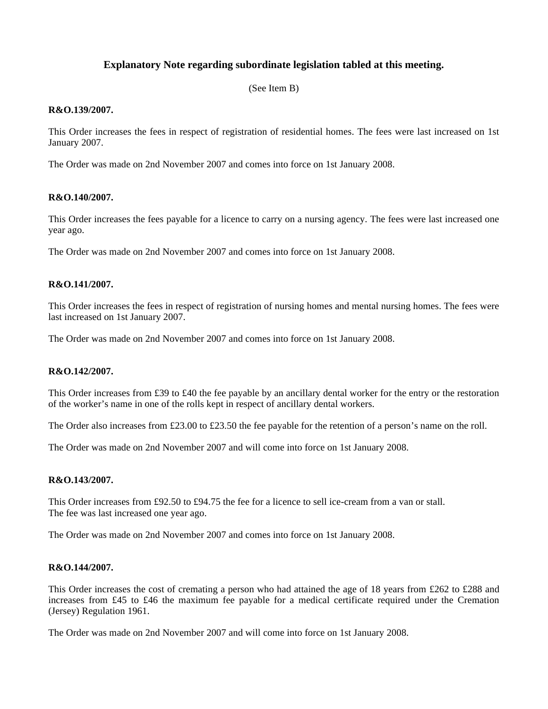### **Explanatory Note regarding subordinate legislation tabled at this meeting.**

(See Item B)

#### **R&O.139/2007.**

This Order increases the fees in respect of registration of residential homes. The fees were last increased on 1st January 2007.

The Order was made on 2nd November 2007 and comes into force on 1st January 2008.

#### **R&O.140/2007.**

This Order increases the fees payable for a licence to carry on a nursing agency. The fees were last increased one year ago.

The Order was made on 2nd November 2007 and comes into force on 1st January 2008.

#### **R&O.141/2007.**

This Order increases the fees in respect of registration of nursing homes and mental nursing homes. The fees were last increased on 1st January 2007.

The Order was made on 2nd November 2007 and comes into force on 1st January 2008.

#### **R&O.142/2007.**

This Order increases from £39 to £40 the fee payable by an ancillary dental worker for the entry or the restoration of the worker's name in one of the rolls kept in respect of ancillary dental workers.

The Order also increases from £23.00 to £23.50 the fee payable for the retention of a person's name on the roll.

The Order was made on 2nd November 2007 and will come into force on 1st January 2008.

#### **R&O.143/2007.**

This Order increases from £92.50 to £94.75 the fee for a licence to sell ice-cream from a van or stall. The fee was last increased one year ago.

The Order was made on 2nd November 2007 and comes into force on 1st January 2008.

#### **R&O.144/2007.**

This Order increases the cost of cremating a person who had attained the age of 18 years from £262 to £288 and increases from £45 to £46 the maximum fee payable for a medical certificate required under the Cremation (Jersey) Regulation 1961.

The Order was made on 2nd November 2007 and will come into force on 1st January 2008.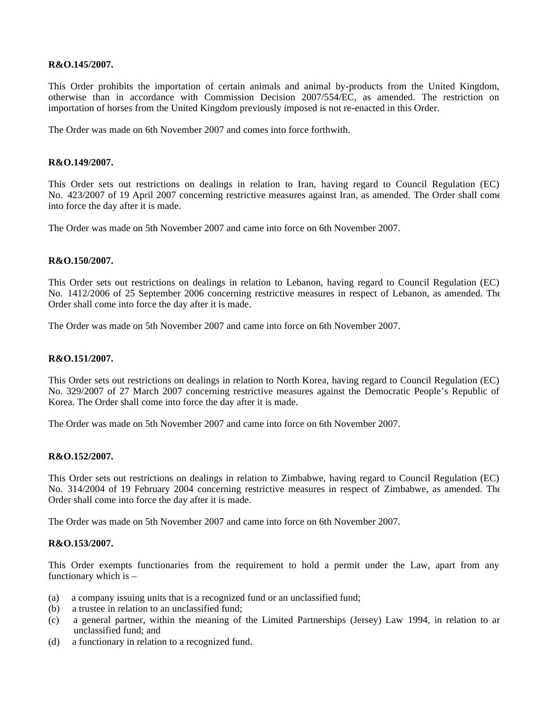#### **R&O.145/2007.**

This Order prohibits the importation of certain animals and animal by-products from the United Kingdom, otherwise than in accordance with Commission Decision 2007/554/EC, as amended. The restriction on importation of horses from the United Kingdom previously imposed is not re-enacted in this Order.

The Order was made on 6th November 2007 and comes into force forthwith.

#### **R&O.149/2007.**

This Order sets out restrictions on dealings in relation to Iran, having regard to Council Regulation (EC) No. 423/2007 of 19 April 2007 concerning restrictive measures against Iran, as amended. The Order shall come into force the day after it is made.

The Order was made on 5th November 2007 and came into force on 6th November 2007.

#### **R&O.150/2007.**

This Order sets out restrictions on dealings in relation to Lebanon, having regard to Council Regulation (EC) No. 1412/2006 of 25 September 2006 concerning restrictive measures in respect of Lebanon, as amended. The Order shall come into force the day after it is made.

The Order was made on 5th November 2007 and came into force on 6th November 2007.

#### **R&O.151/2007.**

This Order sets out restrictions on dealings in relation to North Korea, having regard to Council Regulation (EC) No. 329/2007 of 27 March 2007 concerning restrictive measures against the Democratic People's Republic of Korea. The Order shall come into force the day after it is made.

The Order was made on 5th November 2007 and came into force on 6th November 2007.

#### **R&O.152/2007.**

This Order sets out restrictions on dealings in relation to Zimbabwe, having regard to Council Regulation (EC) No. 314/2004 of 19 February 2004 concerning restrictive measures in respect of Zimbabwe, as amended. The Order shall come into force the day after it is made.

The Order was made on 5th November 2007 and came into force on 6th November 2007.

#### **R&O.153/2007.**

This Order exempts functionaries from the requirement to hold a permit under the Law, apart from any functionary which is –

- (a) a company issuing units that is a recognized fund or an unclassified fund;
- (b) a trustee in relation to an unclassified fund;
- (c) a general partner, within the meaning of the Limited Partnerships (Jersey) Law 1994, in relation to an unclassified fund; and
- (d) a functionary in relation to a recognized fund.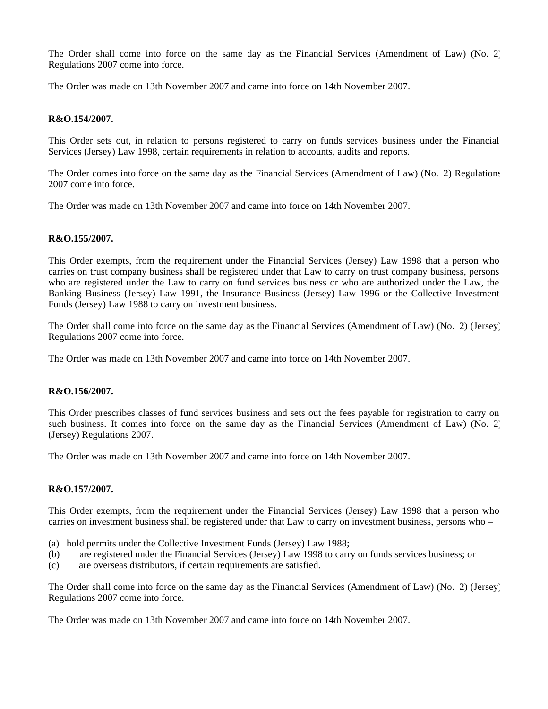The Order shall come into force on the same day as the Financial Services (Amendment of Law) (No. 2) Regulations 2007 come into force.

The Order was made on 13th November 2007 and came into force on 14th November 2007.

#### **R&O.154/2007.**

This Order sets out, in relation to persons registered to carry on funds services business under the Financial Services (Jersey) Law 1998, certain requirements in relation to accounts, audits and reports.

The Order comes into force on the same day as the Financial Services (Amendment of Law) (No. 2) Regulations 2007 come into force.

The Order was made on 13th November 2007 and came into force on 14th November 2007.

#### **R&O.155/2007.**

This Order exempts, from the requirement under the Financial Services (Jersey) Law 1998 that a person who carries on trust company business shall be registered under that Law to carry on trust company business, persons who are registered under the Law to carry on fund services business or who are authorized under the Law, the Banking Business (Jersey) Law 1991, the Insurance Business (Jersey) Law 1996 or the Collective Investment Funds (Jersey) Law 1988 to carry on investment business.

The Order shall come into force on the same day as the Financial Services (Amendment of Law) (No. 2) (Jersey) Regulations 2007 come into force.

The Order was made on 13th November 2007 and came into force on 14th November 2007.

#### **R&O.156/2007.**

This Order prescribes classes of fund services business and sets out the fees payable for registration to carry on such business. It comes into force on the same day as the Financial Services (Amendment of Law) (No. 2) (Jersey) Regulations 2007.

The Order was made on 13th November 2007 and came into force on 14th November 2007.

#### **R&O.157/2007.**

This Order exempts, from the requirement under the Financial Services (Jersey) Law 1998 that a person who carries on investment business shall be registered under that Law to carry on investment business, persons who –

- (a) hold permits under the Collective Investment Funds (Jersey) Law 1988;
- (b) are registered under the Financial Services (Jersey) Law 1998 to carry on funds services business; or
- (c) are overseas distributors, if certain requirements are satisfied.

The Order shall come into force on the same day as the Financial Services (Amendment of Law) (No. 2) (Jersey) Regulations 2007 come into force.

The Order was made on 13th November 2007 and came into force on 14th November 2007.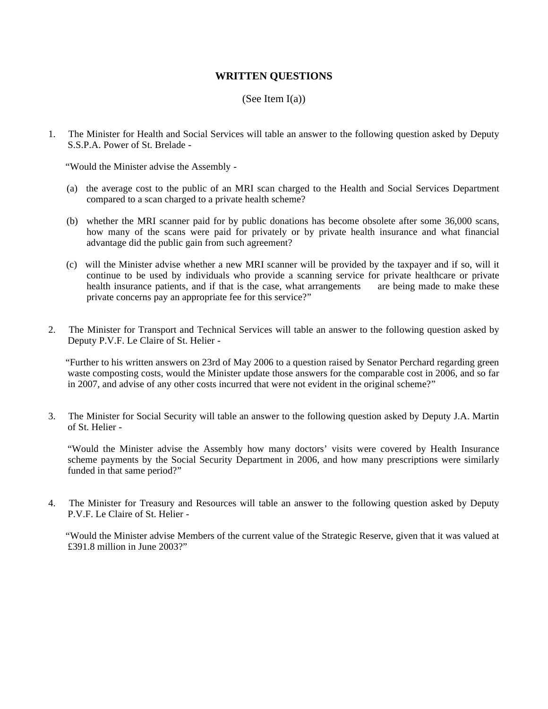### **WRITTEN QUESTIONS**

### (See Item  $I(a)$ )

1. The Minister for Health and Social Services will table an answer to the following question asked by Deputy S.S.P.A. Power of St. Brelade -

"Would the Minister advise the Assembly -

- (a) the average cost to the public of an MRI scan charged to the Health and Social Services Department compared to a scan charged to a private health scheme?
- (b) whether the MRI scanner paid for by public donations has become obsolete after some 36,000 scans, how many of the scans were paid for privately or by private health insurance and what financial advantage did the public gain from such agreement?
- (c) will the Minister advise whether a new MRI scanner will be provided by the taxpayer and if so, will it continue to be used by individuals who provide a scanning service for private healthcare or private health insurance patients, and if that is the case, what arrangements are being made to make these health insurance patients, and if that is the case, what arrangements private concerns pay an appropriate fee for this service?"
- 2. The Minister for Transport and Technical Services will table an answer to the following question asked by Deputy P.V.F. Le Claire of St. Helier -

 "Further to his written answers on 23rd of May 2006 to a question raised by Senator Perchard regarding green waste composting costs, would the Minister update those answers for the comparable cost in 2006, and so far in 2007, and advise of any other costs incurred that were not evident in the original scheme?"

3. The Minister for Social Security will table an answer to the following question asked by Deputy J.A. Martin of St. Helier -

 "Would the Minister advise the Assembly how many doctors' visits were covered by Health Insurance scheme payments by the Social Security Department in 2006, and how many prescriptions were similarly funded in that same period?"

4. The Minister for Treasury and Resources will table an answer to the following question asked by Deputy P.V.F. Le Claire of St. Helier -

 "Would the Minister advise Members of the current value of the Strategic Reserve, given that it was valued at £391.8 million in June 2003?"